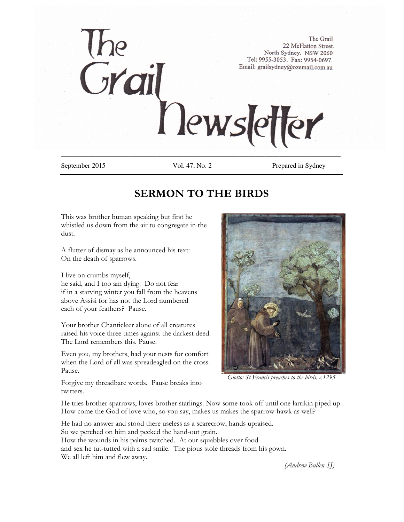

September 2015 Vol. 47, No. 2 Prepared in Sydney

# **SERMON TO THE BIRDS**

This was brother human speaking but first he whistled us down from the air to congregate in the dust.

A flutter of dismay as he announced his text: On the death of sparrows.

I live on crumbs myself, he said, and I too am dying. Do not fear if in a starving winter you fall from the heavens above Assisi for has not the Lord numbered

each of your feathers? Pause.

Your brother Chanticleer alone of all creatures raised his voice three times against the darkest deed. The Lord remembers this. Pause.

Even you, my brothers, had your nests for comfort when the Lord of all was spreadeagled on the cross. Pause.

*Giotto: St Francis preaches to the birds, c.1295*

Forgive my threadbare words. Pause breaks into twitters.

He tries brother sparrows, loves brother starlings. Now some took off until one larrikin piped up How come the God of love who, so you say, makes us makes the sparrow-hawk as well?

He had no answer and stood there useless as a scarecrow, hands upraised. So we perched on him and pecked the hand-out grain. How the wounds in his palms twitched. At our squabbles over food and sex he tut-tutted with a sad smile. The pious stole threads from his gown. We all left him and flew away.

*(Andrew Bullen SJ)*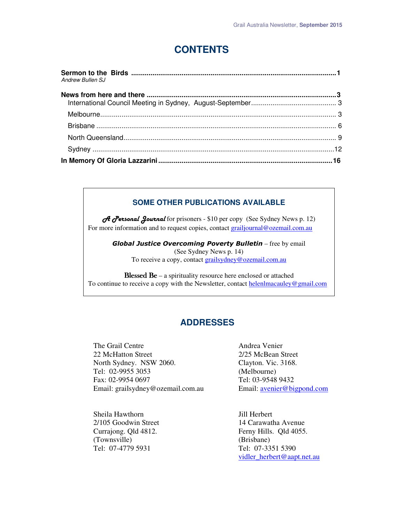# **CONTENTS**

| Andrew Bullen SJ |  |
|------------------|--|
|                  |  |
|                  |  |
|                  |  |
|                  |  |
|                  |  |
|                  |  |
|                  |  |

### **SOME OTHER PUBLICATIONS AVAILABLE**

*A Personal Journal* for prisoners - \$10 per copy (See Sydney News p. 12) For more information and to request copies, contact grailjournal@ozemail.com.au

> *Global Justice Overcoming Poverty Bulletin* – free by email (See Sydney News p. 14) To receive a copy, contact grailsydney@ozemail.com.au

Blessed Be – a spirituality resource here enclosed or attached To continue to receive a copy with the Newsletter, contact helenlmacauley@gmail.com

## **ADDRESSES**

The Grail Centre **Andrea** Venier 22 McHatton Street 2/25 McBean Street North Sydney. NSW 2060. Clayton. Vic. 3168. Tel: 02-9955 3053 (Melbourne) Fax: 02-9954 0697 Tel: 03-9548 9432 Email: grailsydney@ozemail.com.au Email: avenier@bigpond.com

Sheila Hawthorn Jill Herbert (Townsville) (Brisbane) Tel: 07-4779 5931 Tel: 07-3351 5390

2/105 Goodwin Street 14 Carawatha Avenue Currajong. Qld 4812. Ferny Hills. Qld 4055. vidler\_herbert@aapt.net.au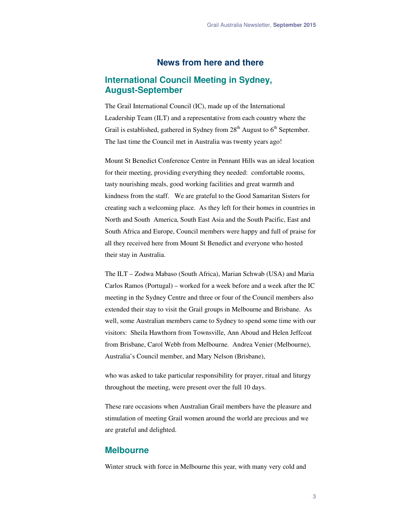## **News from here and there**

## **International Council Meeting in Sydney, August-September**

The Grail International Council (IC), made up of the International Leadership Team (ILT) and a representative from each country where the Grail is established, gathered in Sydney from  $28<sup>th</sup>$  August to  $6<sup>th</sup>$  September. The last time the Council met in Australia was twenty years ago!

Mount St Benedict Conference Centre in Pennant Hills was an ideal location for their meeting, providing everything they needed: comfortable rooms, tasty nourishing meals, good working facilities and great warmth and kindness from the staff. We are grateful to the Good Samaritan Sisters for creating such a welcoming place. As they left for their homes in countries in North and South America, South East Asia and the South Pacific, East and South Africa and Europe, Council members were happy and full of praise for all they received here from Mount St Benedict and everyone who hosted their stay in Australia.

The ILT – Zodwa Mabaso (South Africa), Marian Schwab (USA) and Maria Carlos Ramos (Portugal) – worked for a week before and a week after the IC meeting in the Sydney Centre and three or four of the Council members also extended their stay to visit the Grail groups in Melbourne and Brisbane. As well, some Australian members came to Sydney to spend some time with our visitors: Sheila Hawthorn from Townsville, Ann Aboud and Helen Jeffcoat from Brisbane, Carol Webb from Melbourne. Andrea Venier (Melbourne), Australia's Council member, and Mary Nelson (Brisbane),

who was asked to take particular responsibility for prayer, ritual and liturgy throughout the meeting, were present over the full 10 days.

These rare occasions when Australian Grail members have the pleasure and stimulation of meeting Grail women around the world are precious and we are grateful and delighted.

### **Melbourne**

Winter struck with force in Melbourne this year, with many very cold and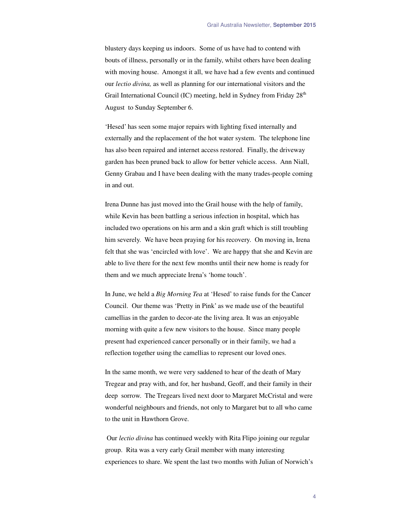blustery days keeping us indoors. Some of us have had to contend with bouts of illness, personally or in the family, whilst others have been dealing with moving house. Amongst it all, we have had a few events and continued our *lectio divina,* as well as planning for our international visitors and the Grail International Council (IC) meeting, held in Sydney from Friday  $28<sup>th</sup>$ August to Sunday September 6.

'Hesed' has seen some major repairs with lighting fixed internally and externally and the replacement of the hot water system. The telephone line has also been repaired and internet access restored. Finally, the driveway garden has been pruned back to allow for better vehicle access. Ann Niall, Genny Grabau and I have been dealing with the many trades-people coming in and out.

Irena Dunne has just moved into the Grail house with the help of family, while Kevin has been battling a serious infection in hospital, which has included two operations on his arm and a skin graft which is still troubling him severely. We have been praying for his recovery. On moving in, Irena felt that she was 'encircled with love'. We are happy that she and Kevin are able to live there for the next few months until their new home is ready for them and we much appreciate Irena's 'home touch'.

In June, we held a *Big Morning Tea* at 'Hesed' to raise funds for the Cancer Council. Our theme was 'Pretty in Pink' as we made use of the beautiful camellias in the garden to decor-ate the living area. It was an enjoyable morning with quite a few new visitors to the house. Since many people present had experienced cancer personally or in their family, we had a reflection together using the camellias to represent our loved ones.

In the same month, we were very saddened to hear of the death of Mary Tregear and pray with, and for, her husband, Geoff, and their family in their deep sorrow. The Tregears lived next door to Margaret McCristal and were wonderful neighbours and friends, not only to Margaret but to all who came to the unit in Hawthorn Grove.

 Our *lectio divina* has continued weekly with Rita Flipo joining our regular group. Rita was a very early Grail member with many interesting experiences to share. We spent the last two months with Julian of Norwich's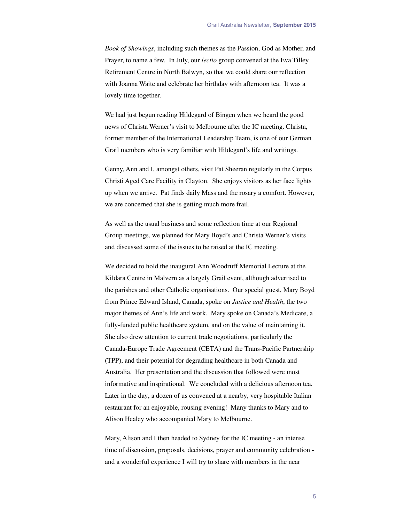*Book of Showings*, including such themes as the Passion, God as Mother, and Prayer, to name a few. In July, our *lectio* group convened at the Eva Tilley Retirement Centre in North Balwyn, so that we could share our reflection with Joanna Waite and celebrate her birthday with afternoon tea. It was a lovely time together.

We had just begun reading Hildegard of Bingen when we heard the good news of Christa Werner's visit to Melbourne after the IC meeting. Christa, former member of the International Leadership Team, is one of our German Grail members who is very familiar with Hildegard's life and writings.

Genny, Ann and I, amongst others, visit Pat Sheeran regularly in the Corpus Christi Aged Care Facility in Clayton. She enjoys visitors as her face lights up when we arrive. Pat finds daily Mass and the rosary a comfort. However, we are concerned that she is getting much more frail.

As well as the usual business and some reflection time at our Regional Group meetings, we planned for Mary Boyd's and Christa Werner's visits and discussed some of the issues to be raised at the IC meeting.

We decided to hold the inaugural Ann Woodruff Memorial Lecture at the Kildara Centre in Malvern as a largely Grail event, although advertised to the parishes and other Catholic organisations. Our special guest, Mary Boyd from Prince Edward Island, Canada, spoke on *Justice and Health*, the two major themes of Ann's life and work. Mary spoke on Canada's Medicare, a fully-funded public healthcare system, and on the value of maintaining it. She also drew attention to current trade negotiations, particularly the Canada-Europe Trade Agreement (CETA) and the Trans-Pacific Partnership (TPP), and their potential for degrading healthcare in both Canada and Australia. Her presentation and the discussion that followed were most informative and inspirational. We concluded with a delicious afternoon tea. Later in the day, a dozen of us convened at a nearby, very hospitable Italian restaurant for an enjoyable, rousing evening! Many thanks to Mary and to Alison Healey who accompanied Mary to Melbourne.

Mary, Alison and I then headed to Sydney for the IC meeting - an intense time of discussion, proposals, decisions, prayer and community celebration and a wonderful experience I will try to share with members in the near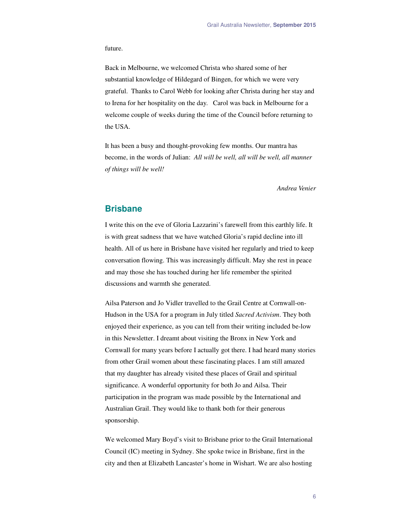#### future.

Back in Melbourne, we welcomed Christa who shared some of her substantial knowledge of Hildegard of Bingen, for which we were very grateful. Thanks to Carol Webb for looking after Christa during her stay and to Irena for her hospitality on the day. Carol was back in Melbourne for a welcome couple of weeks during the time of the Council before returning to the USA.

It has been a busy and thought-provoking few months. Our mantra has become, in the words of Julian: *All will be well, all will be well, all manner of things will be well!* 

*Andrea Venier* 

### **Brisbane**

I write this on the eve of Gloria Lazzarini's farewell from this earthly life. It is with great sadness that we have watched Gloria's rapid decline into ill health. All of us here in Brisbane have visited her regularly and tried to keep conversation flowing. This was increasingly difficult. May she rest in peace and may those she has touched during her life remember the spirited discussions and warmth she generated.

Ailsa Paterson and Jo Vidler travelled to the Grail Centre at Cornwall-on-Hudson in the USA for a program in July titled *Sacred Activism*. They both enjoyed their experience, as you can tell from their writing included be-low in this Newsletter. I dreamt about visiting the Bronx in New York and Cornwall for many years before I actually got there. I had heard many stories from other Grail women about these fascinating places. I am still amazed that my daughter has already visited these places of Grail and spiritual significance. A wonderful opportunity for both Jo and Ailsa. Their participation in the program was made possible by the International and Australian Grail. They would like to thank both for their generous sponsorship.

We welcomed Mary Boyd's visit to Brisbane prior to the Grail International Council (IC) meeting in Sydney. She spoke twice in Brisbane, first in the city and then at Elizabeth Lancaster's home in Wishart. We are also hosting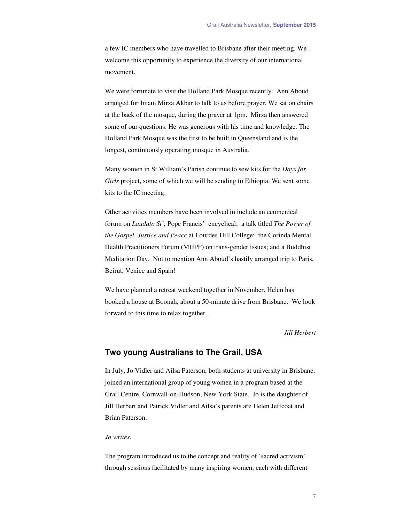a few IC members who have travelled to Brisbane after their meeting. We welcome this opportunity to experience the diversity of our international movement.

We were fortunate to visit the Holland Park Mosque recently. Ann Aboud arranged for Imam Mirza Akbar to talk to us before prayer. We sat on chairs at the back of the mosque, during the prayer at 1pm. Mirza then answered some of our questions. He was generous with his time and knowledge. The Holland Park Mosque was the first to be built in Queensland and is the longest, continuously operating mosque in Australia.

Many women in St William's Parish continue to sew kits for the *Days for Girls* project, some of which we will be sending to Ethiopia. We sent some kits to the IC meeting.

Other activities members have been involved in include an ecumenical forum on *Laudato Si',* Pope Francis' encyclical; a talk titled *The Power of the Gospel, Justice and Peace* at Lourdes Hill College; the Corinda Mental Health Practitioners Forum (MHPF) on trans-gender issues; and a Buddhist Meditation Day. Not to mention Ann Aboud's hastily arranged trip to Paris, Beirut, Venice and Spain!

We have planned a retreat weekend together in November. Helen has booked a house at Boonah, about a 50-minute drive from Brisbane. We look forward to this time to relax together.

*Jill Herbert* 

#### **Two young Australians to The Grail, USA**

In July, Jo Vidler and Ailsa Paterson, both students at university in Brisbane, joined an international group of young women in a program based at the Grail Centre, Cornwall-on-Hudson, New York State. Jo is the daughter of Jill Herbert and Patrick Vidler and Ailsa's parents are Helen Jeffcoat and Brian Paterson.

#### *Jo writes*.

The program introduced us to the concept and reality of 'sacred activism' through sessions facilitated by many inspiring women, each with different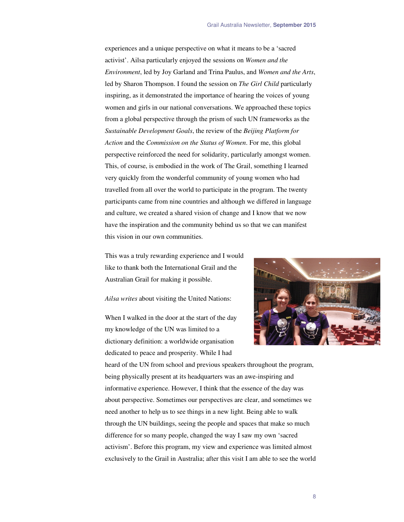experiences and a unique perspective on what it means to be a 'sacred activist'. Ailsa particularly enjoyed the sessions on *Women and the Environment*, led by Joy Garland and Trina Paulus, and *Women and the Arts*, led by Sharon Thompson. I found the session on *The Girl Child* particularly inspiring, as it demonstrated the importance of hearing the voices of young women and girls in our national conversations. We approached these topics from a global perspective through the prism of such UN frameworks as the *Sustainable Development Goals*, the review of the *Beijing Platform for Action* and the *Commission on the Status of Women*. For me, this global perspective reinforced the need for solidarity, particularly amongst women. This, of course, is embodied in the work of The Grail, something I learned very quickly from the wonderful community of young women who had travelled from all over the world to participate in the program. The twenty participants came from nine countries and although we differed in language and culture, we created a shared vision of change and I know that we now have the inspiration and the community behind us so that we can manifest this vision in our own communities.

This was a truly rewarding experience and I would like to thank both the International Grail and the Australian Grail for making it possible.

*Ailsa writes* about visiting the United Nations:

When I walked in the door at the start of the day my knowledge of the UN was limited to a dictionary definition: a worldwide organisation dedicated to peace and prosperity. While I had



heard of the UN from school and previous speakers throughout the program, being physically present at its headquarters was an awe-inspiring and informative experience. However, I think that the essence of the day was about perspective. Sometimes our perspectives are clear, and sometimes we need another to help us to see things in a new light. Being able to walk through the UN buildings, seeing the people and spaces that make so much difference for so many people, changed the way I saw my own 'sacred activism'. Before this program, my view and experience was limited almost exclusively to the Grail in Australia; after this visit I am able to see the world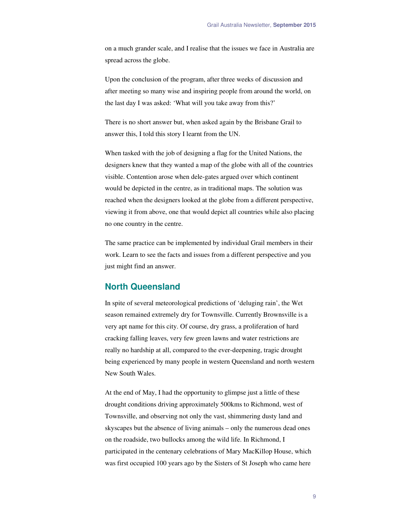on a much grander scale, and I realise that the issues we face in Australia are spread across the globe.

Upon the conclusion of the program, after three weeks of discussion and after meeting so many wise and inspiring people from around the world, on the last day I was asked: 'What will you take away from this?'

There is no short answer but, when asked again by the Brisbane Grail to answer this, I told this story I learnt from the UN.

When tasked with the job of designing a flag for the United Nations, the designers knew that they wanted a map of the globe with all of the countries visible. Contention arose when dele-gates argued over which continent would be depicted in the centre, as in traditional maps. The solution was reached when the designers looked at the globe from a different perspective, viewing it from above, one that would depict all countries while also placing no one country in the centre.

The same practice can be implemented by individual Grail members in their work. Learn to see the facts and issues from a different perspective and you just might find an answer.

### **North Queensland**

In spite of several meteorological predictions of 'deluging rain', the Wet season remained extremely dry for Townsville. Currently Brownsville is a very apt name for this city. Of course, dry grass, a proliferation of hard cracking falling leaves, very few green lawns and water restrictions are really no hardship at all, compared to the ever-deepening, tragic drought being experienced by many people in western Queensland and north western New South Wales.

At the end of May, I had the opportunity to glimpse just a little of these drought conditions driving approximately 500kms to Richmond, west of Townsville, and observing not only the vast, shimmering dusty land and skyscapes but the absence of living animals – only the numerous dead ones on the roadside, two bullocks among the wild life. In Richmond, I participated in the centenary celebrations of Mary MacKillop House, which was first occupied 100 years ago by the Sisters of St Joseph who came here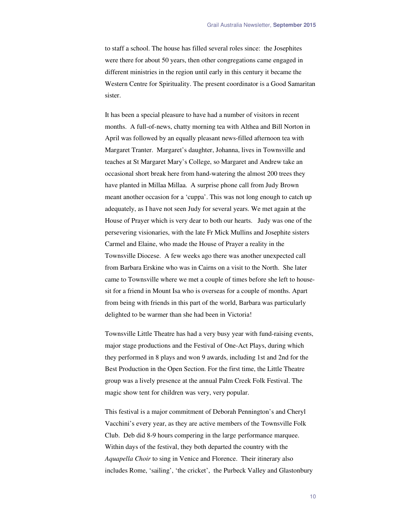to staff a school. The house has filled several roles since: the Josephites were there for about 50 years, then other congregations came engaged in different ministries in the region until early in this century it became the Western Centre for Spirituality. The present coordinator is a Good Samaritan sister.

It has been a special pleasure to have had a number of visitors in recent months. A full-of-news, chatty morning tea with Althea and Bill Norton in April was followed by an equally pleasant news-filled afternoon tea with Margaret Tranter. Margaret's daughter, Johanna, lives in Townsville and teaches at St Margaret Mary's College, so Margaret and Andrew take an occasional short break here from hand-watering the almost 200 trees they have planted in Millaa Millaa. A surprise phone call from Judy Brown meant another occasion for a 'cuppa'. This was not long enough to catch up adequately, as I have not seen Judy for several years. We met again at the House of Prayer which is very dear to both our hearts. Judy was one of the persevering visionaries, with the late Fr Mick Mullins and Josephite sisters Carmel and Elaine, who made the House of Prayer a reality in the Townsville Diocese. A few weeks ago there was another unexpected call from Barbara Erskine who was in Cairns on a visit to the North. She later came to Townsville where we met a couple of times before she left to housesit for a friend in Mount Isa who is overseas for a couple of months. Apart from being with friends in this part of the world, Barbara was particularly delighted to be warmer than she had been in Victoria!

Townsville Little Theatre has had a very busy year with fund-raising events, major stage productions and the Festival of One-Act Plays, during which they performed in 8 plays and won 9 awards, including 1st and 2nd for the Best Production in the Open Section. For the first time, the Little Theatre group was a lively presence at the annual Palm Creek Folk Festival. The magic show tent for children was very, very popular.

This festival is a major commitment of Deborah Pennington's and Cheryl Vacchini's every year, as they are active members of the Townsville Folk Club. Deb did 8-9 hours compering in the large performance marquee. Within days of the festival, they both departed the country with the *Aquapella Choir* to sing in Venice and Florence. Their itinerary also includes Rome, 'sailing', 'the cricket', the Purbeck Valley and Glastonbury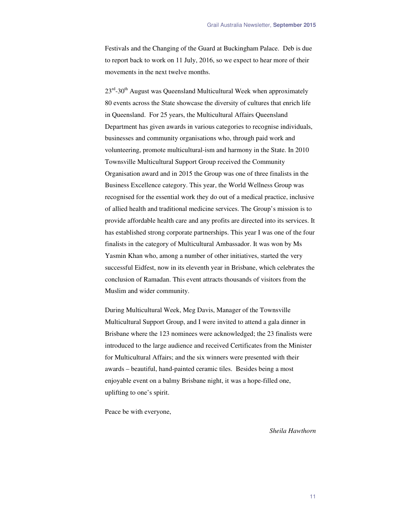Festivals and the Changing of the Guard at Buckingham Palace. Deb is due to report back to work on 11 July, 2016, so we expect to hear more of their movements in the next twelve months.

 $23<sup>rd</sup>$ -30<sup>th</sup> August was Queensland Multicultural Week when approximately 80 events across the State showcase the diversity of cultures that enrich life in Queensland. For 25 years, the Multicultural Affairs Queensland Department has given awards in various categories to recognise individuals, businesses and community organisations who, through paid work and volunteering, promote multicultural-ism and harmony in the State. In 2010 Townsville Multicultural Support Group received the Community Organisation award and in 2015 the Group was one of three finalists in the Business Excellence category. This year, the World Wellness Group was recognised for the essential work they do out of a medical practice, inclusive of allied health and traditional medicine services. The Group's mission is to provide affordable health care and any profits are directed into its services. It has established strong corporate partnerships. This year I was one of the four finalists in the category of Multicultural Ambassador. It was won by Ms Yasmin Khan who, among a number of other initiatives, started the very successful Eidfest, now in its eleventh year in Brisbane, which celebrates the conclusion of Ramadan. This event attracts thousands of visitors from the Muslim and wider community.

During Multicultural Week, Meg Davis, Manager of the Townsville Multicultural Support Group, and I were invited to attend a gala dinner in Brisbane where the 123 nominees were acknowledged; the 23 finalists were introduced to the large audience and received Certificates from the Minister for Multicultural Affairs; and the six winners were presented with their awards – beautiful, hand-painted ceramic tiles. Besides being a most enjoyable event on a balmy Brisbane night, it was a hope-filled one, uplifting to one's spirit.

Peace be with everyone,

*Sheila Hawthorn*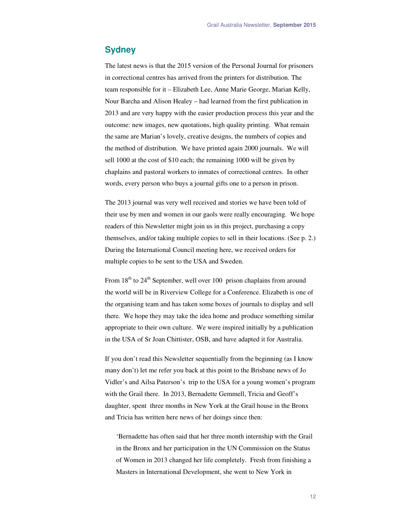### **Sydney**

The latest news is that the 2015 version of the Personal Journal for prisoners in correctional centres has arrived from the printers for distribution. The team responsible for it – Elizabeth Lee, Anne Marie George, Marian Kelly, Nour Barcha and Alison Healey – had learned from the first publication in 2013 and are very happy with the easier production process this year and the outcome: new images, new quotations, high quality printing. What remain the same are Marian's lovely, creative designs, the numbers of copies and the method of distribution. We have printed again 2000 journals. We will sell 1000 at the cost of \$10 each; the remaining 1000 will be given by chaplains and pastoral workers to inmates of correctional centres. In other words, every person who buys a journal gifts one to a person in prison.

The 2013 journal was very well received and stories we have been told of their use by men and women in our gaols were really encouraging. We hope readers of this Newsletter might join us in this project, purchasing a copy themselves, and/or taking multiple copies to sell in their locations. (See p. 2.) During the International Council meeting here, we received orders for multiple copies to be sent to the USA and Sweden.

From  $18<sup>th</sup>$  to  $24<sup>th</sup>$  September, well over 100 prison chaplains from around the world will be in Riverview College for a Conference. Elizabeth is one of the organising team and has taken some boxes of journals to display and sell there. We hope they may take the idea home and produce something similar appropriate to their own culture. We were inspired initially by a publication in the USA of Sr Joan Chittister, OSB, and have adapted it for Australia.

If you don't read this Newsletter sequentially from the beginning (as I know many don't) let me refer you back at this point to the Brisbane news of Jo Vidler's and Ailsa Paterson's trip to the USA for a young women's program with the Grail there. In 2013, Bernadette Gemmell, Tricia and Geoff's daughter, spent three months in New York at the Grail house in the Bronx and Tricia has written here news of her doings since then:

'Bernadette has often said that her three month internship with the Grail in the Bronx and her participation in the UN Commission on the Status of Women in 2013 changed her life completely. Fresh from finishing a Masters in International Development, she went to New York in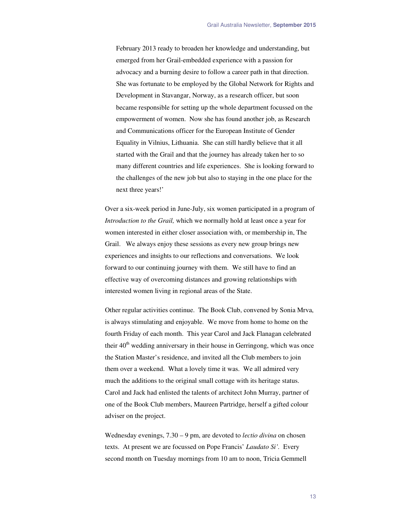February 2013 ready to broaden her knowledge and understanding, but emerged from her Grail-embedded experience with a passion for advocacy and a burning desire to follow a career path in that direction. She was fortunate to be employed by the Global Network for Rights and Development in Stavangar, Norway, as a research officer, but soon became responsible for setting up the whole department focussed on the empowerment of women. Now she has found another job, as Research and Communications officer for the European Institute of Gender Equality in Vilnius, Lithuania. She can still hardly believe that it all started with the Grail and that the journey has already taken her to so many different countries and life experiences. She is looking forward to the challenges of the new job but also to staying in the one place for the next three years!'

Over a six-week period in June-July, six women participated in a program of *Introduction to the Grail,* which we normally hold at least once a year for women interested in either closer association with, or membership in, The Grail. We always enjoy these sessions as every new group brings new experiences and insights to our reflections and conversations. We look forward to our continuing journey with them. We still have to find an effective way of overcoming distances and growing relationships with interested women living in regional areas of the State.

Other regular activities continue. The Book Club, convened by Sonia Mrva, is always stimulating and enjoyable. We move from home to home on the fourth Friday of each month. This year Carol and Jack Flanagan celebrated their  $40<sup>th</sup>$  wedding anniversary in their house in Gerringong, which was once the Station Master's residence, and invited all the Club members to join them over a weekend. What a lovely time it was. We all admired very much the additions to the original small cottage with its heritage status. Carol and Jack had enlisted the talents of architect John Murray, partner of one of the Book Club members, Maureen Partridge, herself a gifted colour adviser on the project.

Wednesday evenings, 7.30 – 9 pm, are devoted to *lectio divina* on chosen texts. At present we are focussed on Pope Francis' *Laudato Si'.* Every second month on Tuesday mornings from 10 am to noon, Tricia Gemmell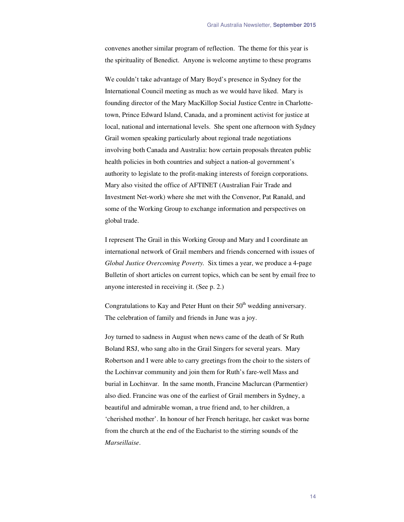convenes another similar program of reflection. The theme for this year is the spirituality of Benedict. Anyone is welcome anytime to these programs

We couldn't take advantage of Mary Boyd's presence in Sydney for the International Council meeting as much as we would have liked. Mary is founding director of the Mary MacKillop Social Justice Centre in Charlottetown, Prince Edward Island, Canada, and a prominent activist for justice at local, national and international levels. She spent one afternoon with Sydney Grail women speaking particularly about regional trade negotiations involving both Canada and Australia: how certain proposals threaten public health policies in both countries and subject a nation-al government's authority to legislate to the profit-making interests of foreign corporations. Mary also visited the office of AFTINET (Australian Fair Trade and Investment Net-work) where she met with the Convenor, Pat Ranald, and some of the Working Group to exchange information and perspectives on global trade.

I represent The Grail in this Working Group and Mary and I coordinate an international network of Grail members and friends concerned with issues of *Global Justice Overcoming Poverty.* Six times a year, we produce a 4-page Bulletin of short articles on current topics, which can be sent by email free to anyone interested in receiving it. (See p. 2.)

Congratulations to Kay and Peter Hunt on their  $50<sup>th</sup>$  wedding anniversary. The celebration of family and friends in June was a joy.

Joy turned to sadness in August when news came of the death of Sr Ruth Boland RSJ, who sang alto in the Grail Singers for several years. Mary Robertson and I were able to carry greetings from the choir to the sisters of the Lochinvar community and join them for Ruth's fare-well Mass and burial in Lochinvar. In the same month, Francine Maclurcan (Parmentier) also died. Francine was one of the earliest of Grail members in Sydney, a beautiful and admirable woman, a true friend and, to her children, a 'cherished mother'. In honour of her French heritage, her casket was borne from the church at the end of the Eucharist to the stirring sounds of the *Marseillaise*.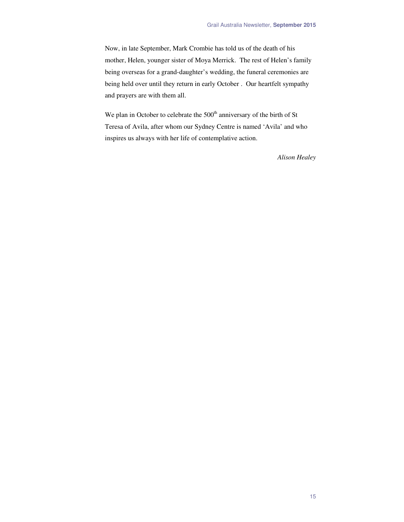Now, in late September, Mark Crombie has told us of the death of his mother, Helen, younger sister of Moya Merrick. The rest of Helen's family being overseas for a grand-daughter's wedding, the funeral ceremonies are being held over until they return in early October . Our heartfelt sympathy and prayers are with them all.

We plan in October to celebrate the 500<sup>th</sup> anniversary of the birth of St Teresa of Avila, after whom our Sydney Centre is named 'Avila' and who inspires us always with her life of contemplative action.

*Alison Healey*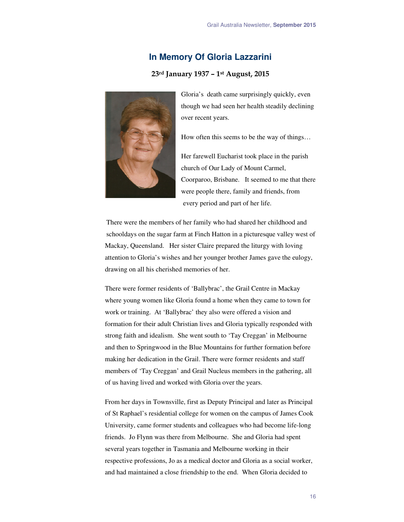## **In Memory Of Gloria Lazzarini**

#### **23rd January 1937 – 1st August, 2015**



Gloria's death came surprisingly quickly, even though we had seen her health steadily declining over recent years.

How often this seems to be the way of things…

Her farewell Eucharist took place in the parish church of Our Lady of Mount Carmel, Coorparoo, Brisbane. It seemed to me that there were people there, family and friends, from every period and part of her life.

There were the members of her family who had shared her childhood and schooldays on the sugar farm at Finch Hatton in a picturesque valley west of Mackay, Queensland. Her sister Claire prepared the liturgy with loving attention to Gloria's wishes and her younger brother James gave the eulogy, drawing on all his cherished memories of her.

There were former residents of 'Ballybrac', the Grail Centre in Mackay where young women like Gloria found a home when they came to town for work or training. At 'Ballybrac' they also were offered a vision and formation for their adult Christian lives and Gloria typically responded with strong faith and idealism. She went south to 'Tay Creggan' in Melbourne and then to Springwood in the Blue Mountains for further formation before making her dedication in the Grail. There were former residents and staff members of 'Tay Creggan' and Grail Nucleus members in the gathering, all of us having lived and worked with Gloria over the years.

From her days in Townsville, first as Deputy Principal and later as Principal of St Raphael's residential college for women on the campus of James Cook University, came former students and colleagues who had become life-long friends. Jo Flynn was there from Melbourne. She and Gloria had spent several years together in Tasmania and Melbourne working in their respective professions, Jo as a medical doctor and Gloria as a social worker, and had maintained a close friendship to the end. When Gloria decided to